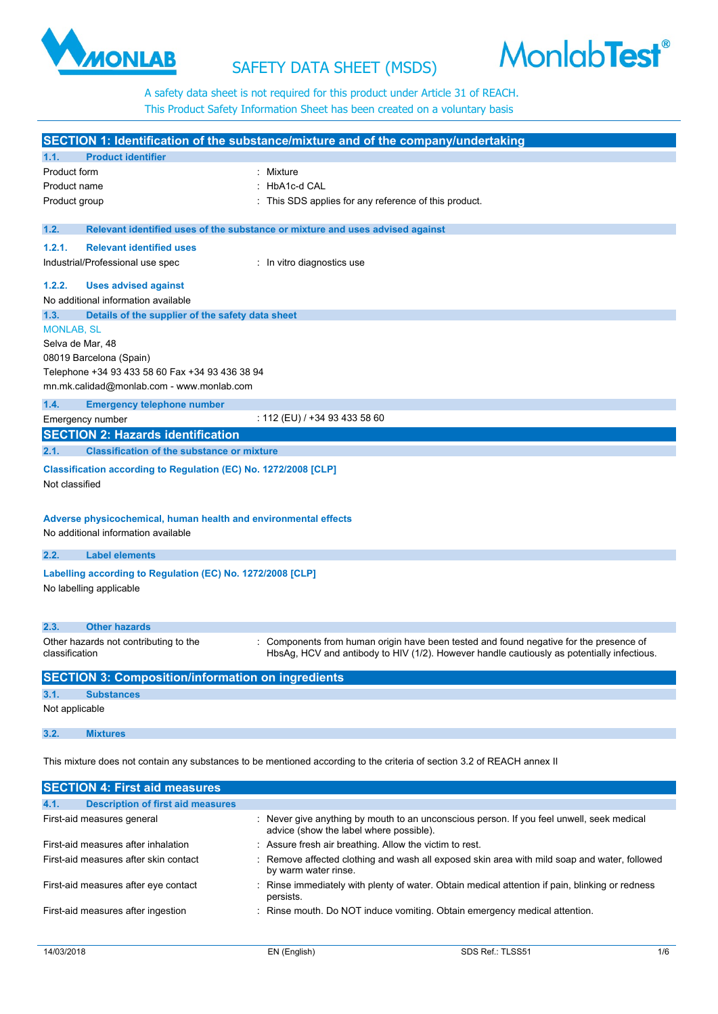



A safety data sheet is not required for this product under Article 31 of REACH. THE SAFETY DATA SHEET (MSDS)<br>A safety data sheet is not required for this product under Article 31 of REACH<br>This Product Safety Information Sheet has been created on a voluntary basis

|                                                                                                                         |                                                                 | SECTION 1: Identification of the substance/mixture and of the company/undertaking          |  |  |  |  |
|-------------------------------------------------------------------------------------------------------------------------|-----------------------------------------------------------------|--------------------------------------------------------------------------------------------|--|--|--|--|
| 1.1.                                                                                                                    | <b>Product identifier</b>                                       |                                                                                            |  |  |  |  |
| Product form                                                                                                            |                                                                 | : Mixture                                                                                  |  |  |  |  |
| Product name                                                                                                            |                                                                 | <b>HbA1c-d CAL</b>                                                                         |  |  |  |  |
| Product group                                                                                                           |                                                                 | This SDS applies for any reference of this product.                                        |  |  |  |  |
| 1.2.                                                                                                                    |                                                                 | Relevant identified uses of the substance or mixture and uses advised against              |  |  |  |  |
|                                                                                                                         | <b>Relevant identified uses</b>                                 |                                                                                            |  |  |  |  |
| 1.2.1.                                                                                                                  | Industrial/Professional use spec                                | : In vitro diagnostics use                                                                 |  |  |  |  |
|                                                                                                                         |                                                                 |                                                                                            |  |  |  |  |
| 1.2.2.                                                                                                                  | <b>Uses advised against</b>                                     |                                                                                            |  |  |  |  |
|                                                                                                                         | No additional information available                             |                                                                                            |  |  |  |  |
| 1.3.                                                                                                                    | Details of the supplier of the safety data sheet                |                                                                                            |  |  |  |  |
| <b>MONLAB, SL</b><br>Selva de Mar, 48                                                                                   |                                                                 |                                                                                            |  |  |  |  |
|                                                                                                                         | 08019 Barcelona (Spain)                                         |                                                                                            |  |  |  |  |
|                                                                                                                         | Telephone +34 93 433 58 60 Fax +34 93 436 38 94                 |                                                                                            |  |  |  |  |
|                                                                                                                         | mn.mk.calidad@monlab.com - www.monlab.com                       |                                                                                            |  |  |  |  |
| 1.4.                                                                                                                    | <b>Emergency telephone number</b>                               |                                                                                            |  |  |  |  |
|                                                                                                                         | Emergency number                                                | : 112 (EU) / +34 93 433 58 60                                                              |  |  |  |  |
|                                                                                                                         | <b>SECTION 2: Hazards identification</b>                        |                                                                                            |  |  |  |  |
| 2.1.                                                                                                                    | <b>Classification of the substance or mixture</b>               |                                                                                            |  |  |  |  |
|                                                                                                                         |                                                                 |                                                                                            |  |  |  |  |
|                                                                                                                         | Classification according to Regulation (EC) No. 1272/2008 [CLP] |                                                                                            |  |  |  |  |
| Not classified                                                                                                          |                                                                 |                                                                                            |  |  |  |  |
|                                                                                                                         |                                                                 |                                                                                            |  |  |  |  |
|                                                                                                                         | Adverse physicochemical, human health and environmental effects |                                                                                            |  |  |  |  |
|                                                                                                                         | No additional information available                             |                                                                                            |  |  |  |  |
| 2.2.                                                                                                                    | <b>Label elements</b>                                           |                                                                                            |  |  |  |  |
|                                                                                                                         | Labelling according to Regulation (EC) No. 1272/2008 [CLP]      |                                                                                            |  |  |  |  |
|                                                                                                                         | No labelling applicable                                         |                                                                                            |  |  |  |  |
|                                                                                                                         |                                                                 |                                                                                            |  |  |  |  |
| 2.3.                                                                                                                    | <b>Other hazards</b>                                            |                                                                                            |  |  |  |  |
|                                                                                                                         | Other hazards not contributing to the                           | Components from human origin have been tested and found negative for the presence of       |  |  |  |  |
| classification                                                                                                          |                                                                 | HbsAg, HCV and antibody to HIV (1/2). However handle cautiously as potentially infectious. |  |  |  |  |
|                                                                                                                         |                                                                 |                                                                                            |  |  |  |  |
|                                                                                                                         | <b>SECTION 3: Composition/information on ingredients</b>        |                                                                                            |  |  |  |  |
| 3.1.                                                                                                                    | <b>Substances</b>                                               |                                                                                            |  |  |  |  |
| Not applicable                                                                                                          |                                                                 |                                                                                            |  |  |  |  |
| 3.2.                                                                                                                    | <b>Mixtures</b>                                                 |                                                                                            |  |  |  |  |
| This mixture does not contain any substances to be mentioned according to the criteria of section 3.2 of REACH annex II |                                                                 |                                                                                            |  |  |  |  |
|                                                                                                                         |                                                                 |                                                                                            |  |  |  |  |
|                                                                                                                         | SECTION A. Firet aid moseuros                                   |                                                                                            |  |  |  |  |

| <u>ISEUTIUN 4. FIISI diu measures</u>            |                                                                                                                                    |
|--------------------------------------------------|------------------------------------------------------------------------------------------------------------------------------------|
| <b>Description of first aid measures</b><br>4.1. |                                                                                                                                    |
| First-aid measures general                       | Never give anything by mouth to an unconscious person. If you feel unwell, seek medical<br>advice (show the label where possible). |
| First-aid measures after inhalation              | : Assure fresh air breathing. Allow the victim to rest.                                                                            |
| First-aid measures after skin contact            | : Remove affected clothing and wash all exposed skin area with mild soap and water, followed<br>by warm water rinse.               |
| First-aid measures after eye contact             | Rinse immediately with plenty of water. Obtain medical attention if pain, blinking or redness<br>persists.                         |
| First-aid measures after ingestion               | Rinse mouth. Do NOT induce vomiting. Obtain emergency medical attention.                                                           |
|                                                  |                                                                                                                                    |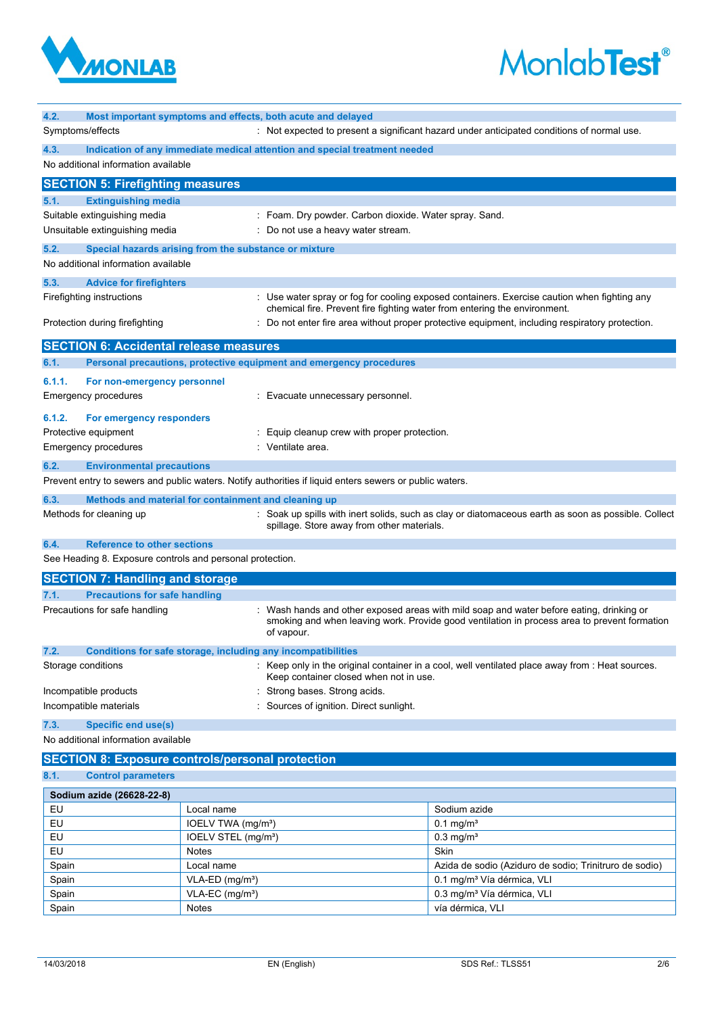



| 4.2.                                                                                                    | Most important symptoms and effects, both acute and delayed                |                                                                                                                                                                                                      |  |  |  |  |  |
|---------------------------------------------------------------------------------------------------------|----------------------------------------------------------------------------|------------------------------------------------------------------------------------------------------------------------------------------------------------------------------------------------------|--|--|--|--|--|
| Symptoms/effects                                                                                        |                                                                            | : Not expected to present a significant hazard under anticipated conditions of normal use.                                                                                                           |  |  |  |  |  |
| 4.3.                                                                                                    | Indication of any immediate medical attention and special treatment needed |                                                                                                                                                                                                      |  |  |  |  |  |
|                                                                                                         | No additional information available                                        |                                                                                                                                                                                                      |  |  |  |  |  |
|                                                                                                         | <b>SECTION 5: Firefighting measures</b>                                    |                                                                                                                                                                                                      |  |  |  |  |  |
| 5.1.                                                                                                    | <b>Extinguishing media</b>                                                 |                                                                                                                                                                                                      |  |  |  |  |  |
|                                                                                                         | Suitable extinguishing media                                               | : Foam. Dry powder. Carbon dioxide. Water spray. Sand.                                                                                                                                               |  |  |  |  |  |
|                                                                                                         | Unsuitable extinguishing media                                             | : Do not use a heavy water stream.                                                                                                                                                                   |  |  |  |  |  |
| 5.2.                                                                                                    | Special hazards arising from the substance or mixture                      |                                                                                                                                                                                                      |  |  |  |  |  |
|                                                                                                         | No additional information available                                        |                                                                                                                                                                                                      |  |  |  |  |  |
| 5.3.                                                                                                    | <b>Advice for firefighters</b>                                             |                                                                                                                                                                                                      |  |  |  |  |  |
|                                                                                                         | Firefighting instructions                                                  | : Use water spray or fog for cooling exposed containers. Exercise caution when fighting any<br>chemical fire. Prevent fire fighting water from entering the environment.                             |  |  |  |  |  |
|                                                                                                         | Protection during firefighting                                             | : Do not enter fire area without proper protective equipment, including respiratory protection.                                                                                                      |  |  |  |  |  |
|                                                                                                         | <b>SECTION 6: Accidental release measures</b>                              |                                                                                                                                                                                                      |  |  |  |  |  |
| 6.1.                                                                                                    | Personal precautions, protective equipment and emergency procedures        |                                                                                                                                                                                                      |  |  |  |  |  |
| 6.1.1.                                                                                                  | For non-emergency personnel                                                |                                                                                                                                                                                                      |  |  |  |  |  |
|                                                                                                         | Emergency procedures                                                       | : Evacuate unnecessary personnel.                                                                                                                                                                    |  |  |  |  |  |
| 6.1.2.                                                                                                  | For emergency responders                                                   |                                                                                                                                                                                                      |  |  |  |  |  |
|                                                                                                         | Protective equipment                                                       | Equip cleanup crew with proper protection.                                                                                                                                                           |  |  |  |  |  |
|                                                                                                         | Emergency procedures                                                       | : Ventilate area.                                                                                                                                                                                    |  |  |  |  |  |
| 6.2.                                                                                                    | <b>Environmental precautions</b>                                           |                                                                                                                                                                                                      |  |  |  |  |  |
| Prevent entry to sewers and public waters. Notify authorities if liquid enters sewers or public waters. |                                                                            |                                                                                                                                                                                                      |  |  |  |  |  |
| 6.3.                                                                                                    | Methods and material for containment and cleaning up                       |                                                                                                                                                                                                      |  |  |  |  |  |
|                                                                                                         | Methods for cleaning up                                                    | : Soak up spills with inert solids, such as clay or diatomaceous earth as soon as possible. Collect<br>spillage. Store away from other materials.                                                    |  |  |  |  |  |
| 6.4.                                                                                                    | <b>Reference to other sections</b>                                         |                                                                                                                                                                                                      |  |  |  |  |  |
|                                                                                                         | See Heading 8. Exposure controls and personal protection.                  |                                                                                                                                                                                                      |  |  |  |  |  |
|                                                                                                         | <b>SECTION 7: Handling and storage</b>                                     |                                                                                                                                                                                                      |  |  |  |  |  |
| 7.1.                                                                                                    | <b>Precautions for safe handling</b>                                       |                                                                                                                                                                                                      |  |  |  |  |  |
|                                                                                                         | Precautions for safe handling                                              | Wash hands and other exposed areas with mild soap and water before eating, drinking or<br>smoking and when leaving work. Provide good ventilation in process area to prevent formation<br>of vapour. |  |  |  |  |  |
| 7.2.                                                                                                    | Conditions for safe storage, including any incompatibilities               |                                                                                                                                                                                                      |  |  |  |  |  |
| Storage conditions                                                                                      |                                                                            | Keep only in the original container in a cool, well ventilated place away from : Heat sources.<br>Keep container closed when not in use.                                                             |  |  |  |  |  |
|                                                                                                         | Incompatible products                                                      | Strong bases. Strong acids.                                                                                                                                                                          |  |  |  |  |  |
|                                                                                                         | Incompatible materials                                                     | Sources of ignition. Direct sunlight.                                                                                                                                                                |  |  |  |  |  |
| 7.3.                                                                                                    | <b>Specific end use(s)</b>                                                 |                                                                                                                                                                                                      |  |  |  |  |  |
|                                                                                                         | No additional information available                                        |                                                                                                                                                                                                      |  |  |  |  |  |
|                                                                                                         | <b>SECTION 8: Exposure controls/personal protection</b>                    |                                                                                                                                                                                                      |  |  |  |  |  |
| 8.1.                                                                                                    | <b>Control parameters</b>                                                  |                                                                                                                                                                                                      |  |  |  |  |  |
|                                                                                                         | $C_{\Omega}$ dium azide (20020.22.0)                                       |                                                                                                                                                                                                      |  |  |  |  |  |

| Sodium azide (26628-22-8) |                                 |                                                        |
|---------------------------|---------------------------------|--------------------------------------------------------|
| EU                        | Local name                      | Sodium azide                                           |
| EU                        | IOELV TWA (mg/m <sup>3</sup> )  | $0.1 \,\mathrm{mg/m^3}$                                |
| EU                        | IOELV STEL (mg/m <sup>3</sup> ) | $0.3$ mg/m <sup>3</sup>                                |
| EU                        | <b>Notes</b>                    | Skin                                                   |
| Spain                     | Local name                      | Azida de sodio (Aziduro de sodio; Trinitruro de sodio) |
| Spain                     | $VLA-ED$ (mg/m <sup>3</sup> )   | 0.1 mg/m <sup>3</sup> Vía dérmica, VLI                 |
| Spain                     | $VLA-EC$ (mg/m <sup>3</sup> )   | 0.3 mg/m <sup>3</sup> Vía dérmica, VLI                 |
| Spain                     | <b>Notes</b>                    | vía dérmica, VLI                                       |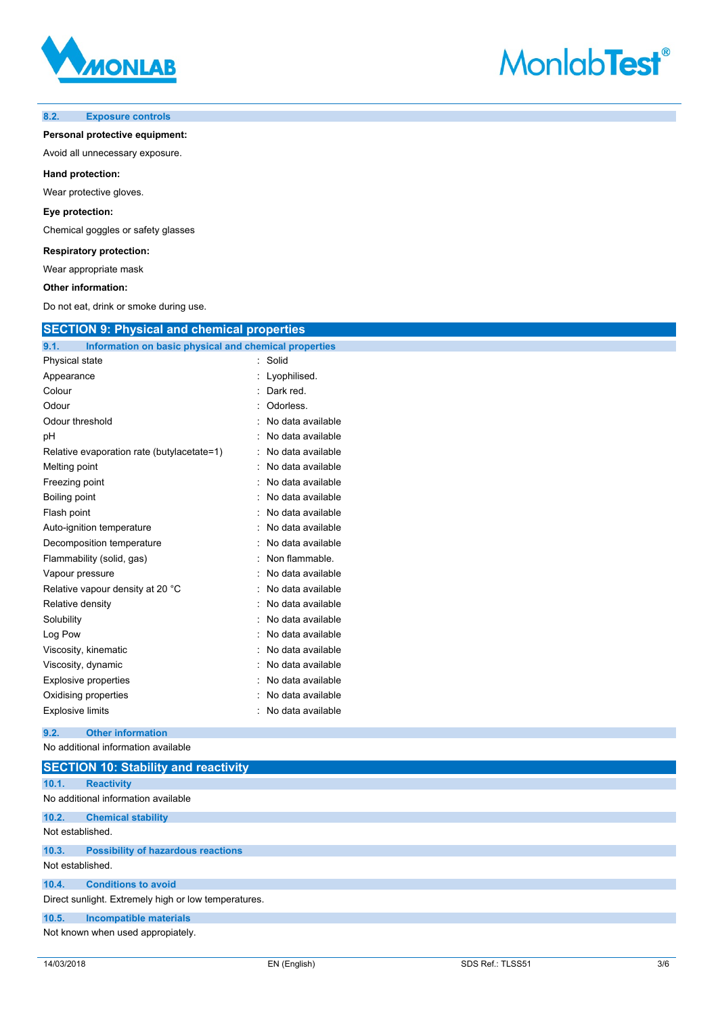

#### **8.2. Exposure controls**

**Personal protective equipment:**

Avoid all unnecessary exposure.

#### **Hand protection:**

Wear protective gloves.

### **Eye protection:**

Chemical goggles or safety glasses

**Respiratory protection:**

Wear appropriate mask

#### **Other information:**

Do not eat, drink or smoke during use.

| <b>SECTION 9: Physical and chemical properties</b>            |                        |  |  |  |  |  |
|---------------------------------------------------------------|------------------------|--|--|--|--|--|
| 9.1.<br>Information on basic physical and chemical properties |                        |  |  |  |  |  |
| Physical state                                                | Solid                  |  |  |  |  |  |
| Appearance                                                    | Lyophilised.           |  |  |  |  |  |
| Colour                                                        | Dark red.              |  |  |  |  |  |
| Odour                                                         | Odorless.              |  |  |  |  |  |
| Odour threshold                                               | No data available      |  |  |  |  |  |
| рH                                                            | No data available      |  |  |  |  |  |
| Relative evaporation rate (butylacetate=1)                    | No data available      |  |  |  |  |  |
| Melting point                                                 | No data available      |  |  |  |  |  |
| Freezing point                                                | No data available<br>۰ |  |  |  |  |  |
| Boiling point                                                 | No data available      |  |  |  |  |  |
| Flash point                                                   | No data available      |  |  |  |  |  |
| Auto-ignition temperature                                     | No data available      |  |  |  |  |  |
| Decomposition temperature                                     | No data available      |  |  |  |  |  |
| Flammability (solid, gas)                                     | Non flammable.         |  |  |  |  |  |
| Vapour pressure                                               | No data available      |  |  |  |  |  |
| Relative vapour density at 20 °C                              | No data available      |  |  |  |  |  |
| Relative density                                              | No data available      |  |  |  |  |  |
| Solubility                                                    | No data available<br>۰ |  |  |  |  |  |
| Log Pow                                                       | No data available      |  |  |  |  |  |
| Viscosity, kinematic                                          | No data available      |  |  |  |  |  |
| Viscosity, dynamic                                            | No data available      |  |  |  |  |  |
| Explosive properties                                          | No data available      |  |  |  |  |  |
| Oxidising properties                                          | No data available      |  |  |  |  |  |
| <b>Explosive limits</b>                                       | No data available      |  |  |  |  |  |

## **9.2. Other information**

No additional information available

|                  | <b>SECTION 10: Stability and reactivity</b>          |  |  |  |  |  |  |
|------------------|------------------------------------------------------|--|--|--|--|--|--|
| 10.1.            | <b>Reactivity</b>                                    |  |  |  |  |  |  |
|                  | No additional information available                  |  |  |  |  |  |  |
| 10.2.            | <b>Chemical stability</b>                            |  |  |  |  |  |  |
|                  | Not established.                                     |  |  |  |  |  |  |
| 10.3.            | <b>Possibility of hazardous reactions</b>            |  |  |  |  |  |  |
| Not established. |                                                      |  |  |  |  |  |  |
| 10.4.            | <b>Conditions to avoid</b>                           |  |  |  |  |  |  |
|                  | Direct sunlight. Extremely high or low temperatures. |  |  |  |  |  |  |
| 10.5.            | <b>Incompatible materials</b>                        |  |  |  |  |  |  |
|                  | Not known when used appropiately.                    |  |  |  |  |  |  |

**MonlabTest®**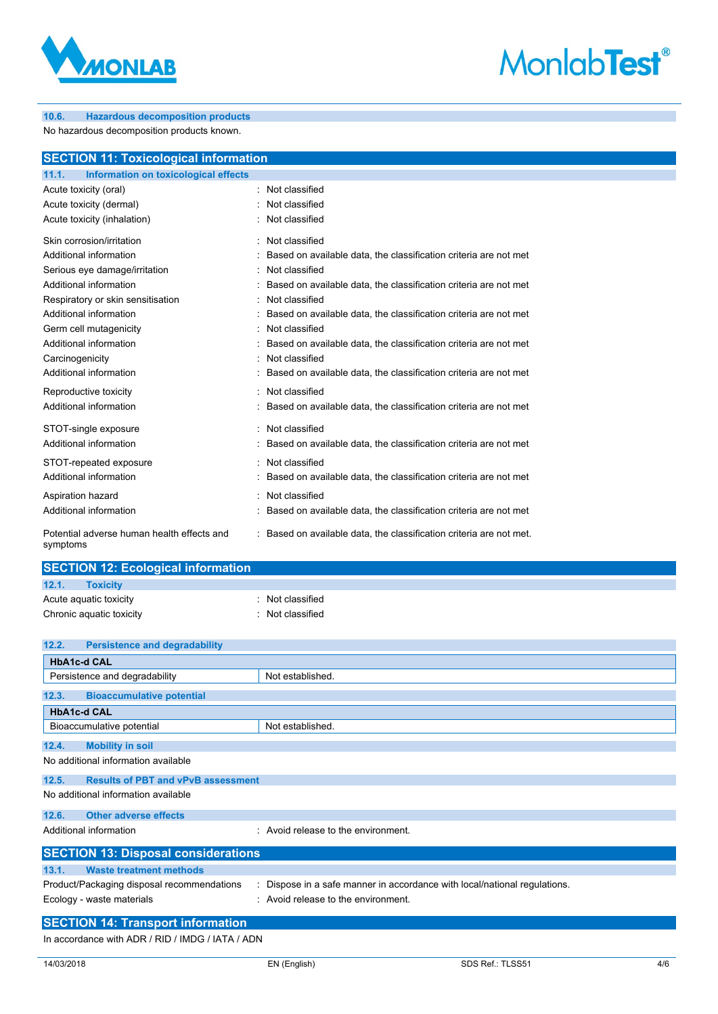



# **10.6. Hazardous decomposition products**

No hazardous decomposition products known.

| <b>SECTION 11: Toxicological information</b>           |  |                                                                   |  |  |
|--------------------------------------------------------|--|-------------------------------------------------------------------|--|--|
| 11.1.<br>Information on toxicological effects          |  |                                                                   |  |  |
| Acute toxicity (oral)                                  |  | Not classified                                                    |  |  |
| Acute toxicity (dermal)                                |  | Not classified                                                    |  |  |
| Acute toxicity (inhalation)                            |  | Not classified                                                    |  |  |
| Skin corrosion/irritation                              |  | Not classified                                                    |  |  |
| Additional information                                 |  | Based on available data, the classification criteria are not met  |  |  |
| Serious eye damage/irritation                          |  | Not classified                                                    |  |  |
| Additional information                                 |  | Based on available data, the classification criteria are not met  |  |  |
| Respiratory or skin sensitisation                      |  | Not classified                                                    |  |  |
| Additional information                                 |  | Based on available data, the classification criteria are not met  |  |  |
| Germ cell mutagenicity                                 |  | Not classified                                                    |  |  |
| Additional information                                 |  | Based on available data, the classification criteria are not met  |  |  |
| Carcinogenicity                                        |  | Not classified                                                    |  |  |
| Additional information                                 |  | Based on available data, the classification criteria are not met  |  |  |
| Reproductive toxicity                                  |  | Not classified                                                    |  |  |
| Additional information                                 |  | Based on available data, the classification criteria are not met  |  |  |
| STOT-single exposure                                   |  | Not classified                                                    |  |  |
| Additional information                                 |  | Based on available data, the classification criteria are not met  |  |  |
| STOT-repeated exposure                                 |  | Not classified                                                    |  |  |
| Additional information                                 |  | Based on available data, the classification criteria are not met  |  |  |
| Aspiration hazard                                      |  | Not classified                                                    |  |  |
| Additional information                                 |  | Based on available data, the classification criteria are not met  |  |  |
| Potential adverse human health effects and<br>symptoms |  | Based on available data, the classification criteria are not met. |  |  |

| <b>SECTION 12: Ecological information</b> |                  |  |  |  |  |
|-------------------------------------------|------------------|--|--|--|--|
| 12.1.<br><b>Toxicity</b>                  |                  |  |  |  |  |
| Acute aquatic toxicity                    | : Not classified |  |  |  |  |
| Chronic aquatic toxicity                  | : Not classified |  |  |  |  |

| 12.2.<br><b>Persistence and degradability</b> |                                                                           |  |  |  |  |  |
|-----------------------------------------------|---------------------------------------------------------------------------|--|--|--|--|--|
| <b>HbA1c-d CAL</b>                            |                                                                           |  |  |  |  |  |
| Persistence and degradability                 | Not established.                                                          |  |  |  |  |  |
| <b>Bioaccumulative potential</b><br>12.3.     |                                                                           |  |  |  |  |  |
| <b>HbA1c-d CAL</b>                            |                                                                           |  |  |  |  |  |
| Bioaccumulative potential                     | Not established.                                                          |  |  |  |  |  |
| 12.4.<br><b>Mobility in soil</b>              |                                                                           |  |  |  |  |  |
| No additional information available           |                                                                           |  |  |  |  |  |
| 12.5.                                         | <b>Results of PBT and vPvB assessment</b>                                 |  |  |  |  |  |
| No additional information available           |                                                                           |  |  |  |  |  |
| 12.6.<br><b>Other adverse effects</b>         |                                                                           |  |  |  |  |  |
| Additional information                        | : Avoid release to the environment.                                       |  |  |  |  |  |
|                                               | <b>SECTION 13: Disposal considerations</b>                                |  |  |  |  |  |
| <b>Waste treatment methods</b><br>13.1.       |                                                                           |  |  |  |  |  |
| Product/Packaging disposal recommendations    | : Dispose in a safe manner in accordance with local/national regulations. |  |  |  |  |  |
| Ecology - waste materials                     | : Avoid release to the environment.                                       |  |  |  |  |  |
| <b>SECTION 14: Transport information</b>      |                                                                           |  |  |  |  |  |

In accordance with ADR / RID / IMDG / IATA / ADN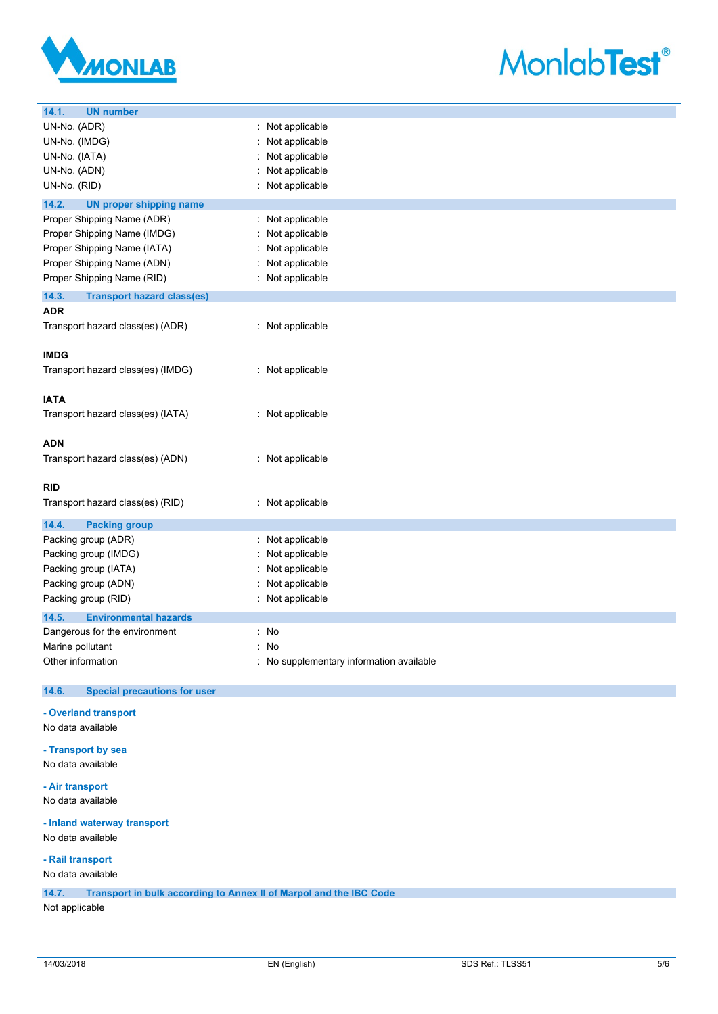



| 14.1.<br><b>UN number</b>                    |                                          |
|----------------------------------------------|------------------------------------------|
| UN-No. (ADR)                                 | : Not applicable                         |
| UN-No. (IMDG)                                | Not applicable                           |
| UN-No. (IATA)                                | Not applicable                           |
| UN-No. (ADN)                                 | Not applicable                           |
| UN-No. (RID)                                 | Not applicable                           |
|                                              |                                          |
| 14.2.<br><b>UN proper shipping name</b>      |                                          |
| Proper Shipping Name (ADR)                   | Not applicable                           |
| Proper Shipping Name (IMDG)                  | Not applicable                           |
| Proper Shipping Name (IATA)                  | Not applicable                           |
| Proper Shipping Name (ADN)                   | Not applicable                           |
| Proper Shipping Name (RID)                   | : Not applicable                         |
| 14.3.<br><b>Transport hazard class(es)</b>   |                                          |
| <b>ADR</b>                                   |                                          |
| Transport hazard class(es) (ADR)             | : Not applicable                         |
|                                              |                                          |
| <b>IMDG</b>                                  |                                          |
| Transport hazard class(es) (IMDG)            | : Not applicable                         |
|                                              |                                          |
| <b>IATA</b>                                  |                                          |
|                                              |                                          |
| Transport hazard class(es) (IATA)            | : Not applicable                         |
|                                              |                                          |
| <b>ADN</b>                                   |                                          |
| Transport hazard class(es) (ADN)             | : Not applicable                         |
|                                              |                                          |
| <b>RID</b>                                   |                                          |
| Transport hazard class(es) (RID)             | : Not applicable                         |
| 14.4.<br><b>Packing group</b>                |                                          |
| Packing group (ADR)                          | Not applicable                           |
|                                              |                                          |
| Packing group (IMDG)                         | Not applicable                           |
| Packing group (IATA)                         | Not applicable                           |
| Packing group (ADN)                          | Not applicable                           |
| Packing group (RID)                          | Not applicable                           |
| 14.5.<br><b>Environmental hazards</b>        |                                          |
| Dangerous for the environment                | : No                                     |
| Marine pollutant                             | : No                                     |
| Other information                            | : No supplementary information available |
|                                              |                                          |
| <b>Special precautions for user</b><br>14.6. |                                          |
|                                              |                                          |
| - Overland transport                         |                                          |
| No data available                            |                                          |
|                                              |                                          |
| - Transport by sea                           |                                          |
| No data available                            |                                          |
| - Air transport                              |                                          |
| No data available                            |                                          |
|                                              |                                          |
| - Inland waterway transport                  |                                          |
| No data available                            |                                          |
| - Rail transport                             |                                          |
|                                              |                                          |
| No data available                            |                                          |
|                                              |                                          |

**14.7. Transport in bulk according to Annex II of Marpol and the IBC Code**

Not applicable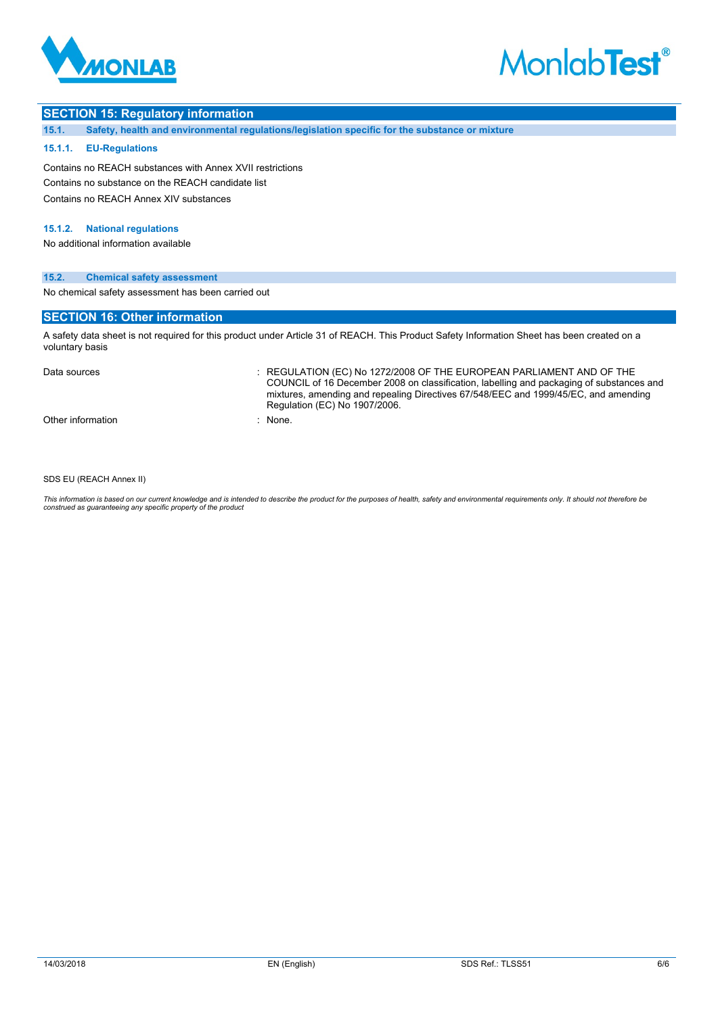

# **MonlabTest®**

## **SECTION 15: Regulatory information**

**15.1. Safety, health and environmental regulations/legislation specific for the substance or mixture**

#### **15.1.1. EU-Regulations**

Contains no REACH substances with Annex XVII restrictions Contains no substance on the REACH candidate list Contains no REACH Annex XIV substances

#### **15.1.2. National regulations**

No additional information available

#### **15.2. Chemical safety assessment**

No chemical safety assessment has been carried out

# **SECTION 16: Other information**

A safety data sheet is not required for this product under Article 31 of REACH. This Product Safety Information Sheet has been created on a voluntary basis

Data sources **Superint Studies : REGULATION (EC) No 1272/2008 OF THE EUROPEAN PARLIAMENT AND OF THE** COUNCIL of 16 December 2008 on classification, labelling and packaging of substances and mixtures, amending and repealing Directives 67/548/EEC and 1999/45/EC, and amending Regulation (EC) No 1907/2006.

Other information in the set of the set of the set of the set of the set of the set of the set of the set of the set of the set of the set of the set of the set of the set of the set of the set of the set of the set of the

SDS EU (REACH Annex II)

This information is based on our current knowledge and is intended to describe the product for the purposes of health, safety and environmental requirements only. It should not therefore be<br>construed as guaranteeing any sp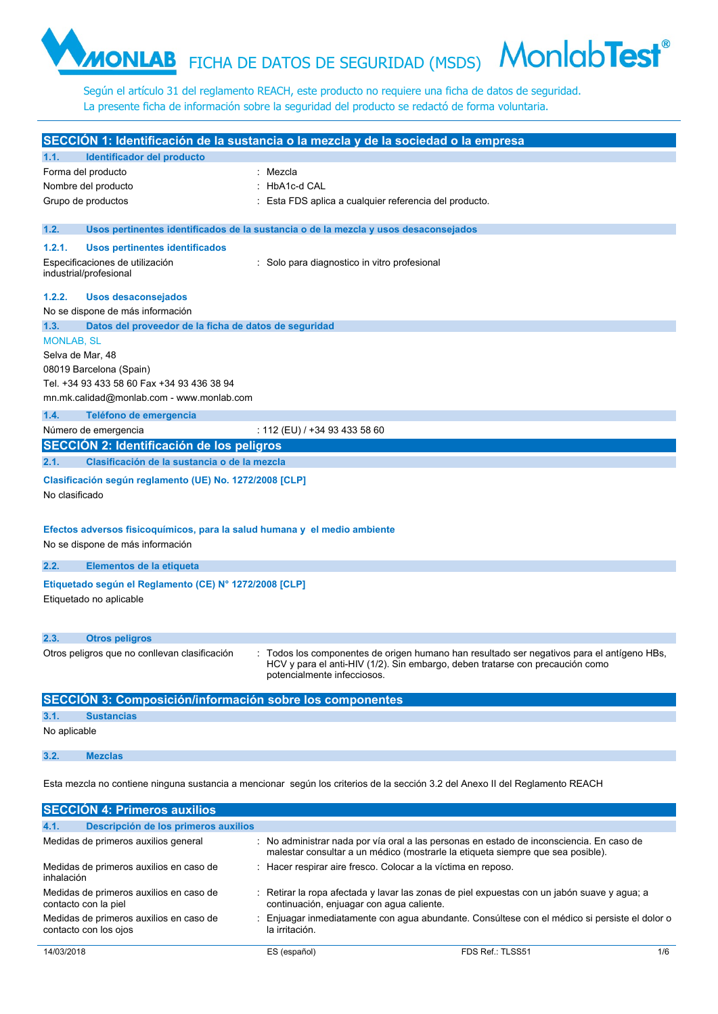MONLAB FICHA DE DATOS DE SEGURIDAD (MSDS) Monlables de Según el artículo 31 del reglamento REACH, este producto no requiere una ficha de datos de seguridad.<br>La presente ficha de información sobre la seguridad del producto

Según el artículo 31 del reglamento REACH, este producto no requiere una ficha de datos de seguridad.

| SECCIÓN 1: Identificación de la sustancia o la mezcla y de la sociedad o la empresa                                           |                                                                                                              |  |  |  |
|-------------------------------------------------------------------------------------------------------------------------------|--------------------------------------------------------------------------------------------------------------|--|--|--|
| Identificador del producto<br>1.1.                                                                                            |                                                                                                              |  |  |  |
| Forma del producto                                                                                                            | Mezcla                                                                                                       |  |  |  |
| Nombre del producto                                                                                                           | <b>HbA1c-d CAL</b>                                                                                           |  |  |  |
| Grupo de productos                                                                                                            | Esta FDS aplica a cualquier referencia del producto.                                                         |  |  |  |
|                                                                                                                               |                                                                                                              |  |  |  |
| 1.2.                                                                                                                          | Usos pertinentes identificados de la sustancia o de la mezcla y usos desaconsejados                          |  |  |  |
| 1.2.1.<br><b>Usos pertinentes identificados</b>                                                                               |                                                                                                              |  |  |  |
| Especificaciones de utilización                                                                                               | : Solo para diagnostico in vitro profesional                                                                 |  |  |  |
| industrial/profesional                                                                                                        |                                                                                                              |  |  |  |
| 1.2.2.                                                                                                                        |                                                                                                              |  |  |  |
| Usos desaconsejados<br>No se dispone de más información                                                                       |                                                                                                              |  |  |  |
| 1.3.<br>Datos del proveedor de la ficha de datos de seguridad                                                                 |                                                                                                              |  |  |  |
| <b>MONLAB, SL</b>                                                                                                             |                                                                                                              |  |  |  |
| Selva de Mar, 48                                                                                                              |                                                                                                              |  |  |  |
| 08019 Barcelona (Spain)                                                                                                       |                                                                                                              |  |  |  |
| Tel. +34 93 433 58 60 Fax +34 93 436 38 94                                                                                    |                                                                                                              |  |  |  |
| mn.mk.calidad@monlab.com - www.monlab.com                                                                                     |                                                                                                              |  |  |  |
|                                                                                                                               |                                                                                                              |  |  |  |
| Teléfono de emergencia<br>1.4.                                                                                                |                                                                                                              |  |  |  |
| Número de emergencia                                                                                                          | : 112 (EU) / +34 93 433 58 60                                                                                |  |  |  |
| SECCIÓN 2: Identificación de los peligros                                                                                     |                                                                                                              |  |  |  |
| 2.1.<br>Clasificación de la sustancia o de la mezcla                                                                          |                                                                                                              |  |  |  |
| Clasificación según reglamento (UE) No. 1272/2008 [CLP]                                                                       |                                                                                                              |  |  |  |
| No clasificado                                                                                                                |                                                                                                              |  |  |  |
|                                                                                                                               |                                                                                                              |  |  |  |
| Efectos adversos fisicoquímicos, para la salud humana y el medio ambiente                                                     |                                                                                                              |  |  |  |
| No se dispone de más información                                                                                              |                                                                                                              |  |  |  |
|                                                                                                                               |                                                                                                              |  |  |  |
| 2.2.<br>Elementos de la etiqueta                                                                                              |                                                                                                              |  |  |  |
| Etiquetado según el Reglamento (CE) Nº 1272/2008 [CLP]                                                                        |                                                                                                              |  |  |  |
| Etiquetado no aplicable                                                                                                       |                                                                                                              |  |  |  |
|                                                                                                                               |                                                                                                              |  |  |  |
|                                                                                                                               |                                                                                                              |  |  |  |
| 2.3.<br><b>Otros peligros</b>                                                                                                 |                                                                                                              |  |  |  |
| Otros peligros que no conllevan clasificación                                                                                 | Todos los componentes de origen humano han resultado ser negativos para el antígeno HBs,                     |  |  |  |
|                                                                                                                               | HCV y para el anti-HIV (1/2). Sin embargo, deben tratarse con precaución como<br>potencialmente infecciosos. |  |  |  |
|                                                                                                                               |                                                                                                              |  |  |  |
| <b>SECCIÓN 3: Composición/información sobre los componentes</b>                                                               |                                                                                                              |  |  |  |
| 3.1.<br><b>Sustancias</b>                                                                                                     |                                                                                                              |  |  |  |
| No aplicable                                                                                                                  |                                                                                                              |  |  |  |
|                                                                                                                               |                                                                                                              |  |  |  |
| 3.2.<br><b>Mezclas</b>                                                                                                        |                                                                                                              |  |  |  |
| Esta mezcla no contiene ninguna sustancia a mencionar según los criterios de la sección 3.2 del Anexo II del Reglamento REACH |                                                                                                              |  |  |  |
|                                                                                                                               |                                                                                                              |  |  |  |
| <b>SECCIÓN 4: Primeros auxilios</b>                                                                                           |                                                                                                              |  |  |  |

| 4.1.                                                            | Descripción de los primeros auxilios                             |                                                                                                                                                                             |                  |     |
|-----------------------------------------------------------------|------------------------------------------------------------------|-----------------------------------------------------------------------------------------------------------------------------------------------------------------------------|------------------|-----|
|                                                                 | Medidas de primeros auxilios general                             | : No administrar nada por vía oral a las personas en estado de inconsciencia. En caso de<br>malestar consultar a un médico (mostrarle la etiqueta siempre que sea posible). |                  |     |
| Medidas de primeros auxilios en caso de<br>inhalación           |                                                                  | Hacer respirar aire fresco. Colocar a la víctima en reposo.                                                                                                                 |                  |     |
| Medidas de primeros auxilios en caso de<br>contacto con la piel |                                                                  | Retirar la ropa afectada y lavar las zonas de piel expuestas con un jabón suave y agua; a<br>continuación, enjuagar con agua caliente.                                      |                  |     |
|                                                                 | Medidas de primeros auxilios en caso de<br>contacto con los ojos | Enjuagar inmediatamente con agua abundante. Consúltese con el médico si persiste el dolor o<br>la irritación.                                                               |                  |     |
| 14/03/2018                                                      |                                                                  | ES (español)                                                                                                                                                                | FDS Ref.: TLSS51 | 1/6 |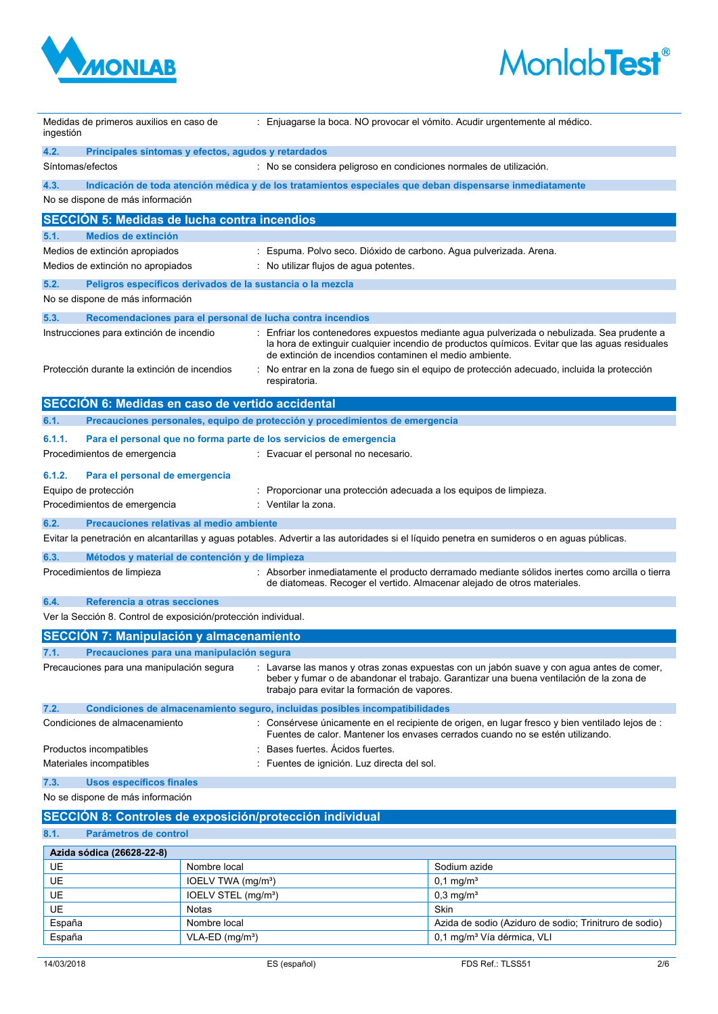



| Medidas de primeros auxilios en caso de<br>ingestión                                                                                                                                                                                                                              |                                                                                                                                                                            | Enjuagarse la boca. NO provocar el vómito. Acudir urgentemente al médico.                                |                                                                                                                                                                                             |  |
|-----------------------------------------------------------------------------------------------------------------------------------------------------------------------------------------------------------------------------------------------------------------------------------|----------------------------------------------------------------------------------------------------------------------------------------------------------------------------|----------------------------------------------------------------------------------------------------------|---------------------------------------------------------------------------------------------------------------------------------------------------------------------------------------------|--|
| 4.2.<br>Principales síntomas y efectos, agudos y retardados                                                                                                                                                                                                                       |                                                                                                                                                                            |                                                                                                          |                                                                                                                                                                                             |  |
| Síntomas/efectos                                                                                                                                                                                                                                                                  |                                                                                                                                                                            | : No se considera peligroso en condiciones normales de utilización.                                      |                                                                                                                                                                                             |  |
| 4.3.                                                                                                                                                                                                                                                                              |                                                                                                                                                                            | Indicación de toda atención médica y de los tratamientos especiales que deban dispensarse inmediatamente |                                                                                                                                                                                             |  |
| No se dispone de más información                                                                                                                                                                                                                                                  |                                                                                                                                                                            |                                                                                                          |                                                                                                                                                                                             |  |
| <b>SECCIÓN 5: Medidas de lucha contra incendios</b>                                                                                                                                                                                                                               |                                                                                                                                                                            |                                                                                                          |                                                                                                                                                                                             |  |
| Medios de extinción<br>5.1.                                                                                                                                                                                                                                                       |                                                                                                                                                                            |                                                                                                          |                                                                                                                                                                                             |  |
| Medios de extinción apropiados                                                                                                                                                                                                                                                    |                                                                                                                                                                            | Espuma. Polvo seco. Dióxido de carbono. Agua pulverizada. Arena.                                         |                                                                                                                                                                                             |  |
| Medios de extinción no apropiados                                                                                                                                                                                                                                                 |                                                                                                                                                                            | : No utilizar flujos de agua potentes.                                                                   |                                                                                                                                                                                             |  |
| 5.2.<br>Peligros específicos derivados de la sustancia o la mezcla                                                                                                                                                                                                                |                                                                                                                                                                            |                                                                                                          |                                                                                                                                                                                             |  |
| No se dispone de más información                                                                                                                                                                                                                                                  |                                                                                                                                                                            |                                                                                                          |                                                                                                                                                                                             |  |
| 5.3.                                                                                                                                                                                                                                                                              |                                                                                                                                                                            | Recomendaciones para el personal de lucha contra incendios                                               |                                                                                                                                                                                             |  |
| Instrucciones para extinción de incendio                                                                                                                                                                                                                                          |                                                                                                                                                                            | de extinción de incendios contaminen el medio ambiente.                                                  | Enfriar los contenedores expuestos mediante agua pulverizada o nebulizada. Sea prudente a<br>la hora de extinguir cualquier incendio de productos químicos. Evitar que las aguas residuales |  |
| Protección durante la extinción de incendios                                                                                                                                                                                                                                      |                                                                                                                                                                            | respiratoria.                                                                                            | No entrar en la zona de fuego sin el equipo de protección adecuado, incluida la protección                                                                                                  |  |
| SECCIÓN 6: Medidas en caso de vertido accidental                                                                                                                                                                                                                                  |                                                                                                                                                                            |                                                                                                          |                                                                                                                                                                                             |  |
| 6.1.                                                                                                                                                                                                                                                                              |                                                                                                                                                                            | Precauciones personales, equipo de protección y procedimientos de emergencia                             |                                                                                                                                                                                             |  |
|                                                                                                                                                                                                                                                                                   |                                                                                                                                                                            |                                                                                                          |                                                                                                                                                                                             |  |
| 6.1.1.                                                                                                                                                                                                                                                                            |                                                                                                                                                                            | Para el personal que no forma parte de los servicios de emergencia                                       |                                                                                                                                                                                             |  |
| Procedimientos de emergencia                                                                                                                                                                                                                                                      |                                                                                                                                                                            | : Evacuar el personal no necesario.                                                                      |                                                                                                                                                                                             |  |
| 6.1.2.<br>Para el personal de emergencia                                                                                                                                                                                                                                          |                                                                                                                                                                            |                                                                                                          |                                                                                                                                                                                             |  |
| Equipo de protección                                                                                                                                                                                                                                                              |                                                                                                                                                                            | Proporcionar una protección adecuada a los equipos de limpieza.                                          |                                                                                                                                                                                             |  |
| Procedimientos de emergencia                                                                                                                                                                                                                                                      |                                                                                                                                                                            | Ventilar la zona.                                                                                        |                                                                                                                                                                                             |  |
| 6.2.<br>Precauciones relativas al medio ambiente                                                                                                                                                                                                                                  |                                                                                                                                                                            |                                                                                                          |                                                                                                                                                                                             |  |
|                                                                                                                                                                                                                                                                                   |                                                                                                                                                                            |                                                                                                          | Evitar la penetración en alcantarillas y aguas potables. Advertir a las autoridades si el líquido penetra en sumideros o en aguas públicas.                                                 |  |
| 6.3.<br>Métodos y material de contención y de limpieza                                                                                                                                                                                                                            |                                                                                                                                                                            |                                                                                                          |                                                                                                                                                                                             |  |
| Procedimientos de limpieza                                                                                                                                                                                                                                                        | : Absorber inmediatamente el producto derramado mediante sólidos inertes como arcilla o tierra<br>de diatomeas. Recoger el vertido. Almacenar alejado de otros materiales. |                                                                                                          |                                                                                                                                                                                             |  |
| Referencia a otras secciones<br>6.4.                                                                                                                                                                                                                                              |                                                                                                                                                                            |                                                                                                          |                                                                                                                                                                                             |  |
| Ver la Sección 8. Control de exposición/protección individual.                                                                                                                                                                                                                    |                                                                                                                                                                            |                                                                                                          |                                                                                                                                                                                             |  |
| <b>SECCIÓN 7: Manipulación y almacenamiento</b>                                                                                                                                                                                                                                   |                                                                                                                                                                            |                                                                                                          |                                                                                                                                                                                             |  |
| Precauciones para una manipulación segura                                                                                                                                                                                                                                         |                                                                                                                                                                            |                                                                                                          |                                                                                                                                                                                             |  |
| Precauciones para una manipulación segura<br>: Lavarse las manos y otras zonas expuestas con un jabón suave y con agua antes de comer,<br>beber y fumar o de abandonar el trabajo. Garantizar una buena ventilación de la zona de<br>trabajo para evitar la formación de vapores. |                                                                                                                                                                            |                                                                                                          |                                                                                                                                                                                             |  |
| 7.2.                                                                                                                                                                                                                                                                              |                                                                                                                                                                            | Condiciones de almacenamiento seguro, incluidas posibles incompatibilidades                              |                                                                                                                                                                                             |  |
| Condiciones de almacenamiento                                                                                                                                                                                                                                                     |                                                                                                                                                                            |                                                                                                          | : Consérvese únicamente en el recipiente de origen, en lugar fresco y bien ventilado lejos de :<br>Fuentes de calor. Mantener los envases cerrados cuando no se estén utilizando.           |  |
| Productos incompatibles                                                                                                                                                                                                                                                           |                                                                                                                                                                            | Bases fuertes. Acidos fuertes.                                                                           |                                                                                                                                                                                             |  |
| Materiales incompatibles                                                                                                                                                                                                                                                          |                                                                                                                                                                            | Fuentes de ignición. Luz directa del sol.                                                                |                                                                                                                                                                                             |  |
|                                                                                                                                                                                                                                                                                   |                                                                                                                                                                            |                                                                                                          |                                                                                                                                                                                             |  |
| 7.3.<br>Usos específicos finales<br>No se dispone de más información                                                                                                                                                                                                              |                                                                                                                                                                            |                                                                                                          |                                                                                                                                                                                             |  |
|                                                                                                                                                                                                                                                                                   |                                                                                                                                                                            |                                                                                                          |                                                                                                                                                                                             |  |
| SECCION 8: Controles de exposición/protección individual                                                                                                                                                                                                                          |                                                                                                                                                                            |                                                                                                          |                                                                                                                                                                                             |  |
| 8.1.<br>Parámetros de control                                                                                                                                                                                                                                                     |                                                                                                                                                                            |                                                                                                          |                                                                                                                                                                                             |  |
| Azida sódica (26628-22-8)                                                                                                                                                                                                                                                         |                                                                                                                                                                            |                                                                                                          |                                                                                                                                                                                             |  |
| UE<br>UE                                                                                                                                                                                                                                                                          | Nombre local                                                                                                                                                               |                                                                                                          | Sodium azide                                                                                                                                                                                |  |
| UE                                                                                                                                                                                                                                                                                | IOELV TWA (mg/m <sup>3</sup> )<br>IOELV STEL (mg/m <sup>3</sup> )                                                                                                          |                                                                                                          | $0,1 \,\mathrm{mg/m^3}$<br>$0,3$ mg/m <sup>3</sup>                                                                                                                                          |  |
| UE                                                                                                                                                                                                                                                                                | Notas                                                                                                                                                                      |                                                                                                          | <b>Skin</b>                                                                                                                                                                                 |  |
| España                                                                                                                                                                                                                                                                            | Nombre local                                                                                                                                                               |                                                                                                          | Azida de sodio (Aziduro de sodio; Trinitruro de sodio)                                                                                                                                      |  |
| España                                                                                                                                                                                                                                                                            | $VLA-ED$ (mg/m <sup>3</sup> )                                                                                                                                              |                                                                                                          | 0,1 mg/m <sup>3</sup> Vía dérmica, VLI                                                                                                                                                      |  |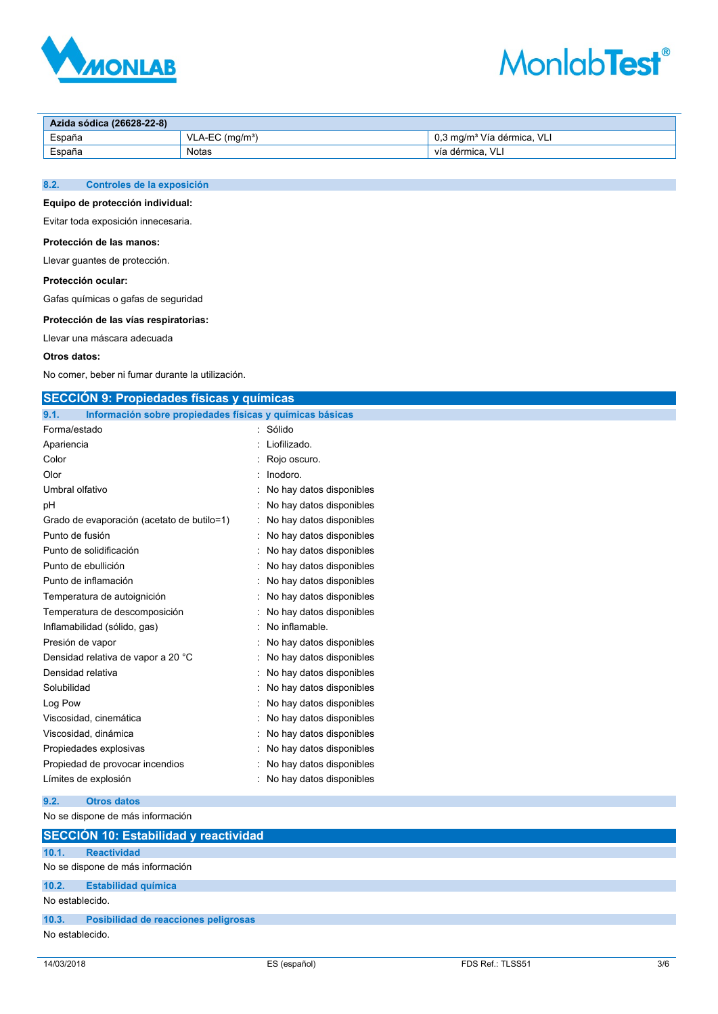



| Azida sódica (26628-22-8) |                  |                                        |
|---------------------------|------------------|----------------------------------------|
| España                    | $VLA-EC (ma/m3)$ | 0,3 mg/m <sup>3</sup> Vía dérmica, VLI |
| España                    | Notas            | vía dérmica. VLI                       |

#### **8.2. Controles de la exposición**

# **Equipo de protección individual:**

Evitar toda exposición innecesaria.

#### **Protección de las manos:**

Llevar guantes de protección.

#### **Protección ocular:**

Gafas químicas o gafas de seguridad

#### **Protección de las vías respiratorias:**

Llevar una máscara adecuada

#### **Otros datos:**

No comer, beber ni fumar durante la utilización.

# **SECCIÓN 9: Propiedades físicas y químicas**

| 9.1.<br>Información sobre propiedades físicas y químicas básicas |                          |
|------------------------------------------------------------------|--------------------------|
| Forma/estado                                                     | Sólido                   |
| Apariencia                                                       | Liofilizado.             |
| Color                                                            | Rojo oscuro.             |
| Olor                                                             | Inodoro.                 |
| Umbral olfativo                                                  | No hay datos disponibles |
| рH                                                               | No hay datos disponibles |
| Grado de evaporación (acetato de butilo=1)                       | No hay datos disponibles |
| Punto de fusión                                                  | No hay datos disponibles |
| Punto de solidificación                                          | No hay datos disponibles |
| Punto de ebullición                                              | No hay datos disponibles |
| Punto de inflamación                                             | No hay datos disponibles |
| Temperatura de autoignición                                      | No hay datos disponibles |
| Temperatura de descomposición                                    | No hay datos disponibles |
| Inflamabilidad (sólido, gas)                                     | No inflamable.           |
| Presión de vapor                                                 | No hay datos disponibles |
| Densidad relativa de vapor a 20 °C                               | No hay datos disponibles |
| Densidad relativa                                                | No hay datos disponibles |
| Solubilidad                                                      | No hay datos disponibles |
| Log Pow                                                          | No hay datos disponibles |
| Viscosidad, cinemática                                           | No hay datos disponibles |
| Viscosidad, dinámica                                             | No hay datos disponibles |
| Propiedades explosivas                                           | No hay datos disponibles |
| Propiedad de provocar incendios                                  | No hay datos disponibles |
| Límites de explosión                                             | No hay datos disponibles |

#### **9.2. Otros datos**

No se dispone de más información

| SECCIÓN 10: Estabilidad y reactividad |                                      |  |
|---------------------------------------|--------------------------------------|--|
| 10.1.                                 | <b>Reactividad</b>                   |  |
| No se dispone de más información      |                                      |  |
| 10.2.                                 | <b>Estabilidad química</b>           |  |
| No establecido.                       |                                      |  |
| 10.3.                                 | Posibilidad de reacciones peligrosas |  |
| No establecido.                       |                                      |  |
|                                       |                                      |  |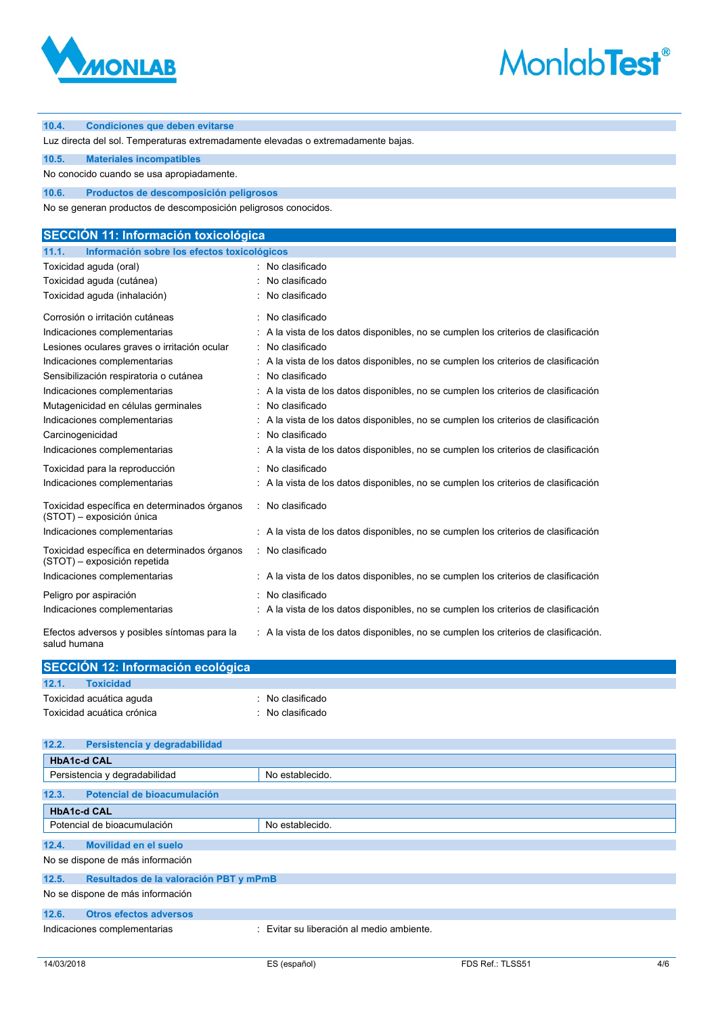



#### **10.4. Condiciones que deben evitarse**

Luz directa del sol. Temperaturas extremadamente elevadas o extremadamente bajas.

**10.5. Materiales incompatibles**

No conocido cuando se usa apropiadamente.

**10.6. Productos de descomposición peligrosos**

No se generan productos de descomposición peligrosos conocidos.

| <b>SECCIÓN 11: Información toxicológica</b>                                  |                                                                                      |
|------------------------------------------------------------------------------|--------------------------------------------------------------------------------------|
| Información sobre los efectos toxicológicos<br>11.1.                         |                                                                                      |
| Toxicidad aguda (oral)                                                       | : No clasificado                                                                     |
| Toxicidad aguda (cutánea)                                                    | No clasificado                                                                       |
| Toxicidad aguda (inhalación)                                                 | No clasificado                                                                       |
| Corrosión o irritación cutáneas                                              | : No clasificado                                                                     |
| Indicaciones complementarias                                                 | : A la vista de los datos disponibles, no se cumplen los criterios de clasificación  |
| Lesiones oculares graves o irritación ocular                                 | : No clasificado                                                                     |
| Indicaciones complementarias                                                 | : A la vista de los datos disponibles, no se cumplen los criterios de clasificación  |
| Sensibilización respiratoria o cutánea                                       | No clasificado                                                                       |
| Indicaciones complementarias                                                 | A la vista de los datos disponibles, no se cumplen los criterios de clasificación    |
| Mutagenicidad en células germinales                                          | No clasificado                                                                       |
| Indicaciones complementarias                                                 | A la vista de los datos disponibles, no se cumplen los criterios de clasificación    |
| Carcinogenicidad                                                             | No clasificado                                                                       |
| Indicaciones complementarias                                                 | : A la vista de los datos disponibles, no se cumplen los criterios de clasificación  |
| Toxicidad para la reproducción                                               | : No clasificado                                                                     |
| Indicaciones complementarias                                                 | : A la vista de los datos disponibles, no se cumplen los criterios de clasificación  |
| Toxicidad específica en determinados órganos<br>(STOT) - exposición única    | : No clasificado                                                                     |
| Indicaciones complementarias                                                 | : A la vista de los datos disponibles, no se cumplen los criterios de clasificación  |
| Toxicidad específica en determinados órganos<br>(STOT) - exposición repetida | : No clasificado                                                                     |
| Indicaciones complementarias                                                 | : A la vista de los datos disponibles, no se cumplen los criterios de clasificación  |
| Peligro por aspiración                                                       | : No clasificado                                                                     |
| Indicaciones complementarias                                                 | : A la vista de los datos disponibles, no se cumplen los criterios de clasificación  |
| Efectos adversos y posibles síntomas para la<br>salud humana                 | : A la vista de los datos disponibles, no se cumplen los criterios de clasificación. |

| SECCIÓN 12: Información ecológica |                             |  |
|-----------------------------------|-----------------------------|--|
| 12.1.<br><b>Toxicidad</b>         |                             |  |
| Toxicidad acuática aguda          | $\therefore$ No clasificado |  |
| Toxicidad acuática crónica        | No clasificado              |  |

| 12.2.                                                                     | Persistencia y degradabilidad          |                 |  |
|---------------------------------------------------------------------------|----------------------------------------|-----------------|--|
|                                                                           | <b>HbA1c-d CAL</b>                     |                 |  |
|                                                                           | Persistencia y degradabilidad          | No establecido. |  |
| 12.3.                                                                     | Potencial de bioacumulación            |                 |  |
|                                                                           | <b>HbA1c-d CAL</b>                     |                 |  |
|                                                                           | Potencial de bioacumulación            | No establecido. |  |
| 12.4.                                                                     | Movilidad en el suelo                  |                 |  |
| No se dispone de más información                                          |                                        |                 |  |
| 12.5.                                                                     | Resultados de la valoración PBT y mPmB |                 |  |
| No se dispone de más información                                          |                                        |                 |  |
| 12.6.                                                                     | <b>Otros efectos adversos</b>          |                 |  |
| : Evitar su liberación al medio ambiente.<br>Indicaciones complementarias |                                        |                 |  |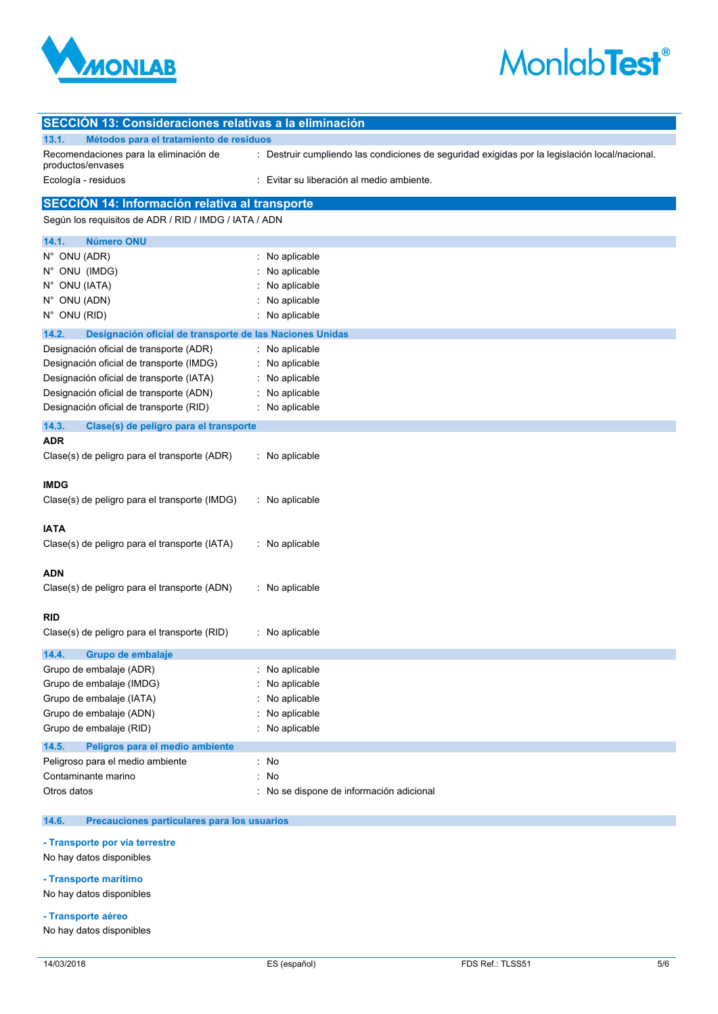

# **MonlabTest®**

| SECCIÓN 13: Consideraciones relativas a la eliminación            |                                                                                                |
|-------------------------------------------------------------------|------------------------------------------------------------------------------------------------|
| 13.1.<br>Métodos para el tratamiento de residuos                  |                                                                                                |
| Recomendaciones para la eliminación de<br>productos/envases       | : Destruir cumpliendo las condiciones de seguridad exigidas por la legislación local/nacional. |
| Ecología - residuos                                               | : Evitar su liberación al medio ambiente.                                                      |
| SECCIÓN 14: Información relativa al transporte                    |                                                                                                |
| Según los requisitos de ADR / RID / IMDG / IATA / ADN             |                                                                                                |
| 14.1.<br><b>Número ONU</b>                                        |                                                                                                |
| N° ONU (ADR)                                                      | No aplicable                                                                                   |
| N° ONU (IMDG)                                                     | No aplicable                                                                                   |
| N° ONU (IATA)                                                     | No aplicable                                                                                   |
| N° ONU (ADN)                                                      | No aplicable                                                                                   |
| N° ONU (RID)                                                      | No aplicable                                                                                   |
| 14.2.<br>Designación oficial de transporte de las Naciones Unidas |                                                                                                |
| Designación oficial de transporte (ADR)                           | : No aplicable                                                                                 |
| Designación oficial de transporte (IMDG)                          | No aplicable                                                                                   |
| Designación oficial de transporte (IATA)                          | No aplicable                                                                                   |
| Designación oficial de transporte (ADN)                           | No aplicable                                                                                   |
| Designación oficial de transporte (RID)                           | No aplicable                                                                                   |
| 14.3.<br>Clase(s) de peligro para el transporte                   |                                                                                                |
| ADR                                                               |                                                                                                |
| Clase(s) de peligro para el transporte (ADR)                      | : No aplicable                                                                                 |
| <b>IMDG</b>                                                       |                                                                                                |
|                                                                   |                                                                                                |
| Clase(s) de peligro para el transporte (IMDG)                     | : No aplicable                                                                                 |
| <b>IATA</b>                                                       |                                                                                                |
| Clase(s) de peligro para el transporte (IATA)                     | : No aplicable                                                                                 |
|                                                                   |                                                                                                |
| ADN                                                               |                                                                                                |
| Clase(s) de peligro para el transporte (ADN)                      | : No aplicable                                                                                 |
|                                                                   |                                                                                                |
| RID                                                               |                                                                                                |
| Clase(s) de peligro para el transporte (RID)                      | : No aplicable                                                                                 |
| 14.4.<br><b>Grupo de embalaje</b>                                 |                                                                                                |
| Grupo de embalaje (ADR)                                           | : No aplicable                                                                                 |
| Grupo de embalaje (IMDG)                                          | No aplicable                                                                                   |
| Grupo de embalaje (IATA)                                          | No aplicable                                                                                   |
| Grupo de embalaje (ADN)                                           | No aplicable                                                                                   |
| Grupo de embalaje (RID)                                           | : No aplicable                                                                                 |
| 14.5.<br>Peligros para el medio ambiente                          |                                                                                                |
| Peligroso para el medio ambiente                                  | : No                                                                                           |
| Contaminante marino                                               | : No                                                                                           |
| Otros datos                                                       | : No se dispone de información adicional                                                       |
| coupience nextigulares nexs les usuaris                           |                                                                                                |

#### **14.6. Precauciones particulares para los usuarios**

**- Transporte por vía terrestre**

No hay datos disponibles

**- Transporte marítimo**

No hay datos disponibles

**- Transporte aéreo**

No hay datos disponibles